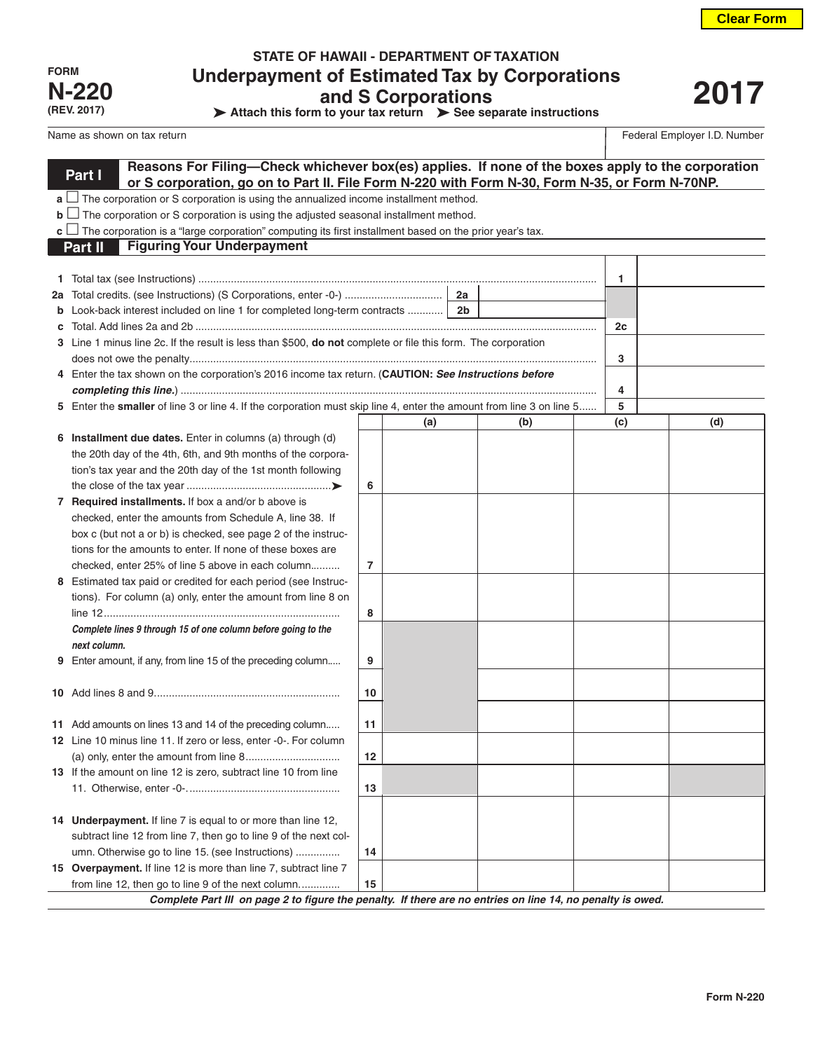| FORM         |
|--------------|
| <b>N-220</b> |
| (REV. 2017)  |

## **STATE OF HAWAII - DEPARTMENT OF TAXATION Underpayment of Estimated Tax by Corporations and S Corporations**

**Attach this form to your tax return > See separate instructions** 

# **2017**

Federal Employer I.D. Number

|    | Reasons For Filing-Check whichever box(es) applies. If none of the boxes apply to the corporation                                                                |                |     |  |     |  |     |  |     |
|----|------------------------------------------------------------------------------------------------------------------------------------------------------------------|----------------|-----|--|-----|--|-----|--|-----|
|    | Part I<br>or S corporation, go on to Part II. File Form N-220 with Form N-30, Form N-35, or Form N-70NP.                                                         |                |     |  |     |  |     |  |     |
|    | $a \bigsqcup$ The corporation or S corporation is using the annualized income installment method.                                                                |                |     |  |     |  |     |  |     |
|    | $\mathbf{b}$ $\Box$ The corporation or S corporation is using the adjusted seasonal installment method.                                                          |                |     |  |     |  |     |  |     |
|    | <b>c</b> $\Box$ The corporation is a "large corporation" computing its first installment based on the prior year's tax.                                          |                |     |  |     |  |     |  |     |
|    | <b>Figuring Your Underpayment</b><br>Part II                                                                                                                     |                |     |  |     |  |     |  |     |
|    |                                                                                                                                                                  |                |     |  |     |  |     |  |     |
|    |                                                                                                                                                                  |                |     |  |     |  | 1   |  |     |
| 2a |                                                                                                                                                                  |                |     |  |     |  |     |  |     |
| b  |                                                                                                                                                                  |                |     |  |     |  |     |  |     |
| с  |                                                                                                                                                                  |                |     |  |     |  | 2c  |  |     |
|    | 3 Line 1 minus line 2c. If the result is less than \$500, do not complete or file this form. The corporation                                                     |                |     |  |     |  |     |  |     |
|    |                                                                                                                                                                  |                |     |  |     |  | 3   |  |     |
|    | 4 Enter the tax shown on the corporation's 2016 income tax return. (CAUTION: See Instructions before                                                             |                |     |  |     |  |     |  |     |
|    |                                                                                                                                                                  |                |     |  |     |  | 4   |  |     |
|    | 5 Enter the smaller of line 3 or line 4. If the corporation must skip line 4, enter the amount from line 3 on line 5                                             |                |     |  |     |  | 5   |  |     |
|    |                                                                                                                                                                  |                | (a) |  | (b) |  | (c) |  | (d) |
|    | 6 Installment due dates. Enter in columns (a) through (d)                                                                                                        |                |     |  |     |  |     |  |     |
|    | the 20th day of the 4th, 6th, and 9th months of the corpora-                                                                                                     |                |     |  |     |  |     |  |     |
|    | tion's tax year and the 20th day of the 1st month following                                                                                                      |                |     |  |     |  |     |  |     |
|    |                                                                                                                                                                  | 6              |     |  |     |  |     |  |     |
|    | 7 Required installments. If box a and/or b above is                                                                                                              |                |     |  |     |  |     |  |     |
|    | checked, enter the amounts from Schedule A, line 38. If                                                                                                          |                |     |  |     |  |     |  |     |
|    | box c (but not a or b) is checked, see page 2 of the instruc-                                                                                                    |                |     |  |     |  |     |  |     |
|    | tions for the amounts to enter. If none of these boxes are<br>checked, enter 25% of line 5 above in each column                                                  | $\overline{7}$ |     |  |     |  |     |  |     |
|    | 8 Estimated tax paid or credited for each period (see Instruc-                                                                                                   |                |     |  |     |  |     |  |     |
|    | tions). For column (a) only, enter the amount from line 8 on                                                                                                     |                |     |  |     |  |     |  |     |
|    |                                                                                                                                                                  | 8              |     |  |     |  |     |  |     |
|    | Complete lines 9 through 15 of one column before going to the                                                                                                    |                |     |  |     |  |     |  |     |
|    | next column.                                                                                                                                                     |                |     |  |     |  |     |  |     |
| 9  | Enter amount, if any, from line 15 of the preceding column                                                                                                       | 9              |     |  |     |  |     |  |     |
|    |                                                                                                                                                                  |                |     |  |     |  |     |  |     |
|    |                                                                                                                                                                  | 10             |     |  |     |  |     |  |     |
|    |                                                                                                                                                                  |                |     |  |     |  |     |  |     |
|    | 11 Add amounts on lines 13 and 14 of the preceding column                                                                                                        | 11             |     |  |     |  |     |  |     |
|    | 12 Line 10 minus line 11. If zero or less, enter -0-. For column                                                                                                 |                |     |  |     |  |     |  |     |
|    |                                                                                                                                                                  | 12             |     |  |     |  |     |  |     |
|    | 13 If the amount on line 12 is zero, subtract line 10 from line                                                                                                  |                |     |  |     |  |     |  |     |
|    |                                                                                                                                                                  | 13             |     |  |     |  |     |  |     |
|    |                                                                                                                                                                  |                |     |  |     |  |     |  |     |
|    | 14 Underpayment. If line 7 is equal to or more than line 12,                                                                                                     |                |     |  |     |  |     |  |     |
|    | subtract line 12 from line 7, then go to line 9 of the next col-                                                                                                 |                |     |  |     |  |     |  |     |
|    | umn. Otherwise go to line 15. (see Instructions)                                                                                                                 | 14             |     |  |     |  |     |  |     |
|    | 15 Overpayment. If line 12 is more than line 7, subtract line 7                                                                                                  |                |     |  |     |  |     |  |     |
|    | from line 12, then go to line 9 of the next column<br>Complete Part III on page 2 to figure the penalty. If there are no entries on line 14, no penalty is owed. | 15             |     |  |     |  |     |  |     |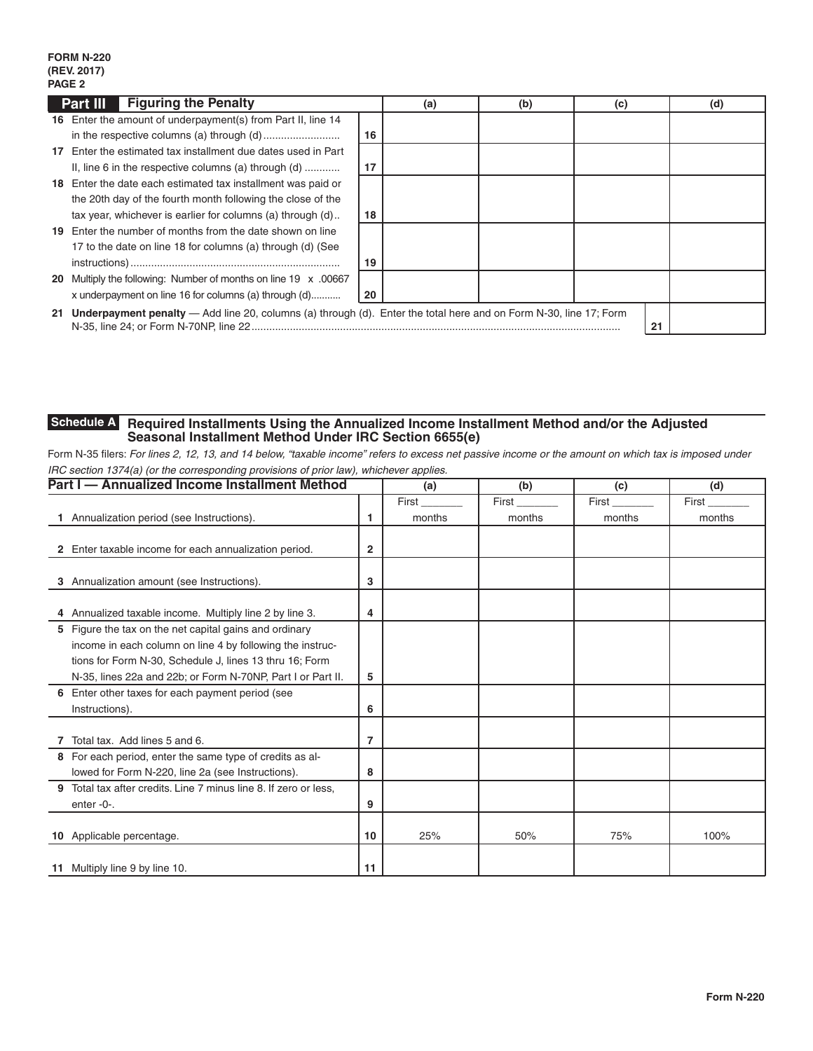### **FORM N-220 (REV. 2017) PAGE 2**

|    | <b>Figuring the Penalty</b><br>Part III                                                                              |    | (a) | (b) | (c) |    | (d) |
|----|----------------------------------------------------------------------------------------------------------------------|----|-----|-----|-----|----|-----|
|    | 16 Enter the amount of underpayment(s) from Part II, line 14                                                         |    |     |     |     |    |     |
|    |                                                                                                                      | 16 |     |     |     |    |     |
| 17 | Enter the estimated tax installment due dates used in Part                                                           |    |     |     |     |    |     |
|    | II, line 6 in the respective columns (a) through $(d)$                                                               | 17 |     |     |     |    |     |
|    | 18 Enter the date each estimated tax installment was paid or                                                         |    |     |     |     |    |     |
|    | the 20th day of the fourth month following the close of the                                                          |    |     |     |     |    |     |
|    | tax year, whichever is earlier for columns (a) through (d)                                                           | 18 |     |     |     |    |     |
|    | 19 Enter the number of months from the date shown on line                                                            |    |     |     |     |    |     |
|    | 17 to the date on line 18 for columns (a) through (d) (See                                                           |    |     |     |     |    |     |
|    |                                                                                                                      | 19 |     |     |     |    |     |
|    | 20 Multiply the following: Number of months on line 19 x .00667                                                      |    |     |     |     |    |     |
|    | x underpayment on line 16 for columns (a) through (d)                                                                | 20 |     |     |     |    |     |
|    | 21 Underpayment penalty - Add line 20, columns (a) through (d). Enter the total here and on Form N-30, line 17; Form |    |     |     |     | 21 |     |

#### **Required Installments Using the Annualized Income Installment Method and/or the Adjusted Seasonal Installment Method Under IRC Section 6655(e) Schedule A**

Form N-35 filers: *For lines 2, 12, 13, and 14 below, "taxable income" refers to excess net passive income or the amount on which tax is imposed under IRC section 1374(a) (or the corresponding provisions of prior law), whichever applies.*

| Part I - Annualized Income Installment Method                       |    | (a)    | (b)    | (c)    | (d)    |
|---------------------------------------------------------------------|----|--------|--------|--------|--------|
|                                                                     |    | First  | First  | First  | First  |
| Annualization period (see Instructions).                            | 1  | months | months | months | months |
|                                                                     |    |        |        |        |        |
| Enter taxable income for each annualization period.<br>2.           | 2  |        |        |        |        |
|                                                                     |    |        |        |        |        |
| Annualization amount (see Instructions).<br>3                       | 3  |        |        |        |        |
|                                                                     |    |        |        |        |        |
| 4 Annualized taxable income. Multiply line 2 by line 3.             | 4  |        |        |        |        |
| 5 Figure the tax on the net capital gains and ordinary              |    |        |        |        |        |
| income in each column on line 4 by following the instruc-           |    |        |        |        |        |
| tions for Form N-30, Schedule J, lines 13 thru 16; Form             |    |        |        |        |        |
| N-35, lines 22a and 22b; or Form N-70NP, Part I or Part II.         | 5  |        |        |        |        |
| 6 Enter other taxes for each payment period (see                    |    |        |        |        |        |
| Instructions).                                                      | 6  |        |        |        |        |
|                                                                     |    |        |        |        |        |
| Total tax. Add lines 5 and 6.                                       | 7  |        |        |        |        |
| 8 For each period, enter the same type of credits as al-            |    |        |        |        |        |
| lowed for Form N-220, line 2a (see Instructions).                   | 8  |        |        |        |        |
| Total tax after credits. Line 7 minus line 8. If zero or less.<br>9 |    |        |        |        |        |
| enter -0-.                                                          | 9  |        |        |        |        |
|                                                                     |    |        |        |        |        |
| 10 Applicable percentage.                                           | 10 | 25%    | 50%    | 75%    | 100%   |
|                                                                     |    |        |        |        |        |
| 11 Multiply line 9 by line 10.                                      | 11 |        |        |        |        |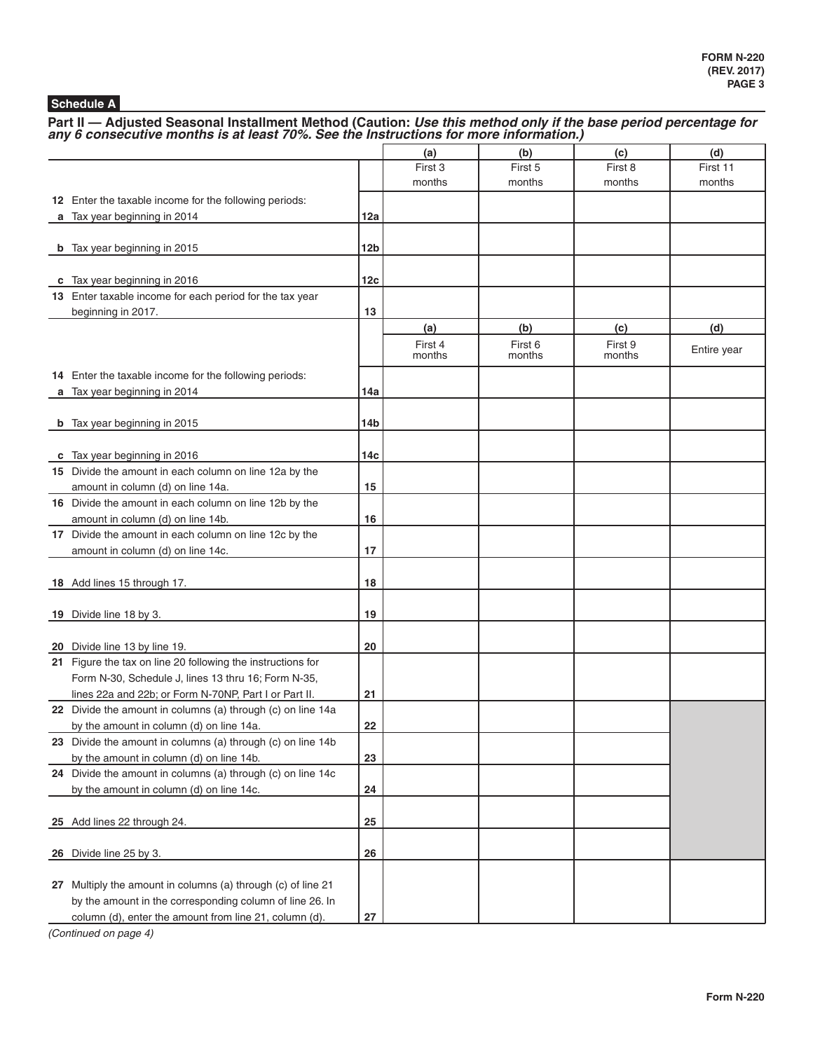## **Schedule A**

Part II — Adjusted Seasonal Installment Method (Caution: *Use this method only if the base period percentage for any 6 consecutive months is at least 70%. See the Instructions for more information.)* 

|                                                              |            | (a)     | (b)     | (c)     | (d)         |
|--------------------------------------------------------------|------------|---------|---------|---------|-------------|
|                                                              |            | First 3 | First 5 | First 8 | First 11    |
|                                                              |            | months  | months  | months  | months      |
| 12 Enter the taxable income for the following periods:       |            |         |         |         |             |
| a Tax year beginning in 2014                                 | 12a        |         |         |         |             |
|                                                              |            |         |         |         |             |
| <b>b</b> Tax year beginning in 2015                          | 12b        |         |         |         |             |
|                                                              |            |         |         |         |             |
| c Tax year beginning in 2016                                 | 12c        |         |         |         |             |
| 13 Enter taxable income for each period for the tax year     |            |         |         |         |             |
| beginning in 2017.                                           | 13         |         |         |         |             |
|                                                              |            | (a)     | (b)     | (c)     | (d)         |
|                                                              |            | First 4 | First 6 | First 9 | Entire year |
|                                                              |            | months  | months  | months  |             |
| 14 Enter the taxable income for the following periods:       |            |         |         |         |             |
| a Tax year beginning in 2014                                 | 14a        |         |         |         |             |
|                                                              |            |         |         |         |             |
| <b>b</b> Tax year beginning in 2015                          | 14b        |         |         |         |             |
|                                                              |            |         |         |         |             |
| c Tax year beginning in 2016                                 | 14с        |         |         |         |             |
| 15 Divide the amount in each column on line 12a by the       |            |         |         |         |             |
| amount in column (d) on line 14a.                            | 15         |         |         |         |             |
| 16 Divide the amount in each column on line 12b by the       |            |         |         |         |             |
| amount in column (d) on line 14b.                            | 16         |         |         |         |             |
| 17 Divide the amount in each column on line 12c by the       | 17         |         |         |         |             |
| amount in column (d) on line 14c.                            |            |         |         |         |             |
| 18 Add lines 15 through 17.                                  | 18         |         |         |         |             |
|                                                              |            |         |         |         |             |
| 19 Divide line 18 by 3.                                      | 19         |         |         |         |             |
|                                                              |            |         |         |         |             |
| 20 Divide line 13 by line 19.                                | 20         |         |         |         |             |
| 21 Figure the tax on line 20 following the instructions for  |            |         |         |         |             |
| Form N-30, Schedule J, lines 13 thru 16; Form N-35,          |            |         |         |         |             |
| lines 22a and 22b; or Form N-70NP, Part I or Part II.        | 21         |         |         |         |             |
| 22 Divide the amount in columns (a) through (c) on line 14a  |            |         |         |         |             |
| by the amount in column (d) on line 14a.                     | 22         |         |         |         |             |
| 23 Divide the amount in columns (a) through (c) on line 14b  |            |         |         |         |             |
| by the amount in column (d) on line 14b.                     | 23         |         |         |         |             |
| 24 Divide the amount in columns (a) through (c) on line 14c  |            |         |         |         |             |
| by the amount in column (d) on line 14c.                     | 24         |         |         |         |             |
|                                                              |            |         |         |         |             |
| 25 Add lines 22 through 24.                                  | 25         |         |         |         |             |
|                                                              |            |         |         |         |             |
| 26 Divide line 25 by 3.                                      | 26         |         |         |         |             |
|                                                              |            |         |         |         |             |
| 27 Multiply the amount in columns (a) through (c) of line 21 |            |         |         |         |             |
| by the amount in the corresponding column of line 26. In     |            |         |         |         |             |
| column (d), enter the amount from line 21, column (d).       | ${\bf 27}$ |         |         |         |             |

*(Continued on page 4)*